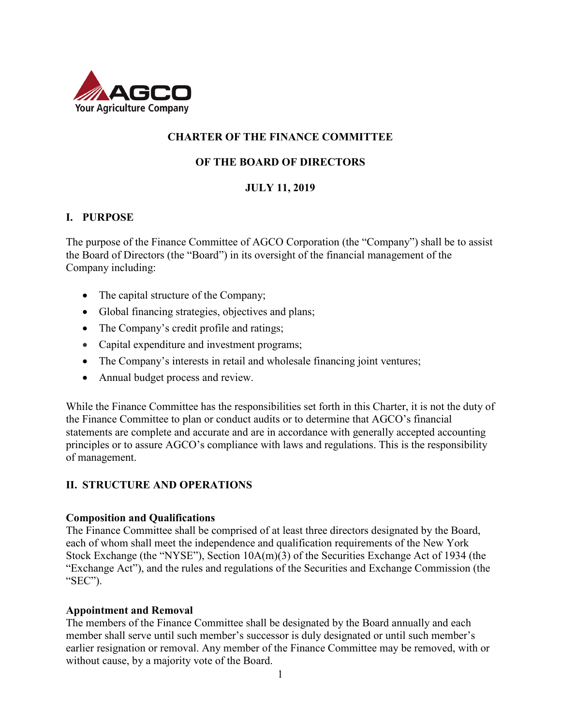

## **CHARTER OF THE FINANCE COMMITTEE**

### **OF THE BOARD OF DIRECTORS**

### **JULY 11, 2019**

### **I. PURPOSE**

The purpose of the Finance Committee of AGCO Corporation (the "Company") shall be to assist the Board of Directors (the "Board") in its oversight of the financial management of the Company including:

- The capital structure of the Company;
- Global financing strategies, objectives and plans;
- The Company's credit profile and ratings;
- Capital expenditure and investment programs;
- The Company's interests in retail and wholesale financing joint ventures;
- Annual budget process and review.

While the Finance Committee has the responsibilities set forth in this Charter, it is not the duty of the Finance Committee to plan or conduct audits or to determine that AGCO's financial statements are complete and accurate and are in accordance with generally accepted accounting principles or to assure AGCO's compliance with laws and regulations. This is the responsibility of management.

### **II. STRUCTURE AND OPERATIONS**

### **Composition and Qualifications**

The Finance Committee shall be comprised of at least three directors designated by the Board, each of whom shall meet the independence and qualification requirements of the New York Stock Exchange (the "NYSE"), Section 10A(m)(3) of the Securities Exchange Act of 1934 (the "Exchange Act"), and the rules and regulations of the Securities and Exchange Commission (the "SEC").

### **Appointment and Removal**

The members of the Finance Committee shall be designated by the Board annually and each member shall serve until such member's successor is duly designated or until such member's earlier resignation or removal. Any member of the Finance Committee may be removed, with or without cause, by a majority vote of the Board.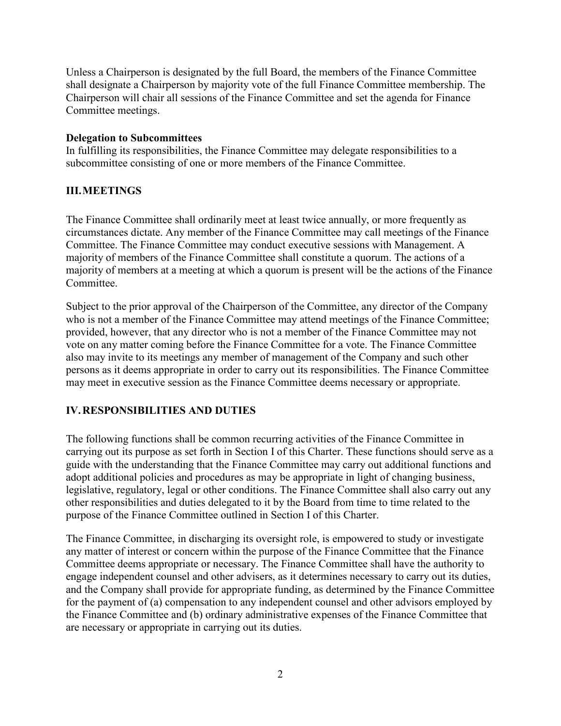Unless a Chairperson is designated by the full Board, the members of the Finance Committee shall designate a Chairperson by majority vote of the full Finance Committee membership. The Chairperson will chair all sessions of the Finance Committee and set the agenda for Finance Committee meetings.

### **Delegation to Subcommittees**

In fulfilling its responsibilities, the Finance Committee may delegate responsibilities to a subcommittee consisting of one or more members of the Finance Committee.

## **III.MEETINGS**

The Finance Committee shall ordinarily meet at least twice annually, or more frequently as circumstances dictate. Any member of the Finance Committee may call meetings of the Finance Committee. The Finance Committee may conduct executive sessions with Management. A majority of members of the Finance Committee shall constitute a quorum. The actions of a majority of members at a meeting at which a quorum is present will be the actions of the Finance Committee.

Subject to the prior approval of the Chairperson of the Committee, any director of the Company who is not a member of the Finance Committee may attend meetings of the Finance Committee; provided, however, that any director who is not a member of the Finance Committee may not vote on any matter coming before the Finance Committee for a vote. The Finance Committee also may invite to its meetings any member of management of the Company and such other persons as it deems appropriate in order to carry out its responsibilities. The Finance Committee may meet in executive session as the Finance Committee deems necessary or appropriate.

# **IV.RESPONSIBILITIES AND DUTIES**

The following functions shall be common recurring activities of the Finance Committee in carrying out its purpose as set forth in Section I of this Charter. These functions should serve as a guide with the understanding that the Finance Committee may carry out additional functions and adopt additional policies and procedures as may be appropriate in light of changing business, legislative, regulatory, legal or other conditions. The Finance Committee shall also carry out any other responsibilities and duties delegated to it by the Board from time to time related to the purpose of the Finance Committee outlined in Section I of this Charter.

The Finance Committee, in discharging its oversight role, is empowered to study or investigate any matter of interest or concern within the purpose of the Finance Committee that the Finance Committee deems appropriate or necessary. The Finance Committee shall have the authority to engage independent counsel and other advisers, as it determines necessary to carry out its duties, and the Company shall provide for appropriate funding, as determined by the Finance Committee for the payment of (a) compensation to any independent counsel and other advisors employed by the Finance Committee and (b) ordinary administrative expenses of the Finance Committee that are necessary or appropriate in carrying out its duties.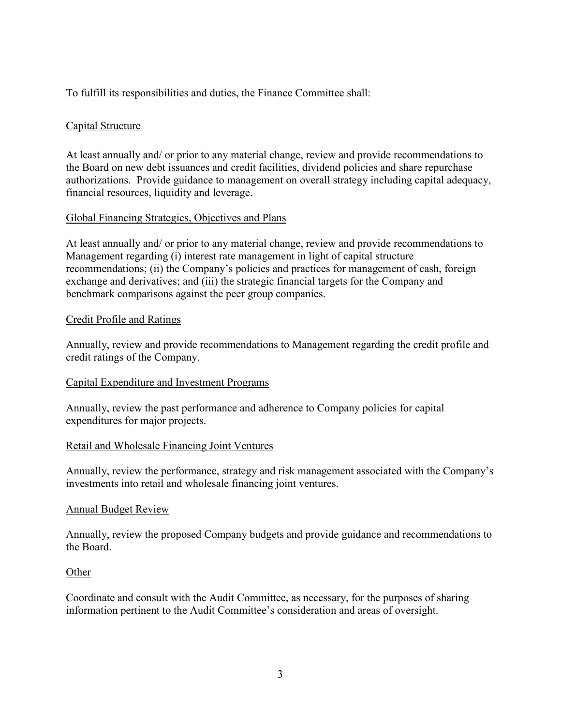To fulfill its responsibilities and duties, the Finance Committee shall:

### Capital Structure

At least annually and/ or prior to any material change, review and provide recommendations to the Board on new debt issuances and credit facilities, dividend policies and share repurchase authorizations. Provide guidance to management on overall strategy including capital adequacy, financial resources, liquidity and leverage.

### Global Financing Strategies, Objectives and Plans

At least annually and/ or prior to any material change, review and provide recommendations to Management regarding (i) interest rate management in light of capital structure recommendations; (ii) the Company's policies and practices for management of cash, foreign exchange and derivatives; and (iii) the strategic financial targets for the Company and benchmark comparisons against the peer group companies.

### Credit Profile and Ratings

Annually, review and provide recommendations to Management regarding the credit profile and credit ratings of the Company.

### Capital Expenditure and Investment Programs

Annually, review the past performance and adherence to Company policies for capital expenditures for major projects.

### Retail and Wholesale Financing Joint Ventures

Annually, review the performance, strategy and risk management associated with the Company's investments into retail and wholesale financing joint ventures.

### Annual Budget Review

Annually, review the proposed Company budgets and provide guidance and recommendations to the Board.

### **Other**

Coordinate and consult with the Audit Committee, as necessary, for the purposes of sharing information pertinent to the Audit Committee's consideration and areas of oversight.